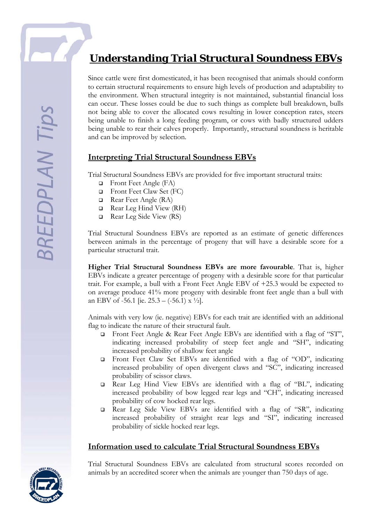# *Understanding Trial Structural Soundness EBVs*

Since cattle were first domesticated, it has been recognised that animals should conform to certain structural requirements to ensure high levels of production and adaptability to the environment. When structural integrity is not maintained, substantial financial loss can occur. These losses could be due to such things as complete bull breakdown, bulls not being able to cover the allocated cows resulting in lower conception rates, steers being unable to finish a long feeding program, or cows with badly structured udders being unable to rear their calves properly. Importantly, structural soundness is heritable and can be improved by selection.

#### **Interpreting Trial Structural Soundness EBVs**

Trial Structural Soundness EBVs are provided for five important structural traits:

- **D** Front Feet Angle (FA)
- Front Feet Claw Set (FC)
- Rear Feet Angle (RA)
- $\Box$  Rear Leg Hind View (RH)
- $\Box$  Rear Leg Side View (RS)

Trial Structural Soundness EBVs are reported as an estimate of genetic differences between animals in the percentage of progeny that will have a desirable score for a particular structural trait.

**Higher Trial Structural Soundness EBVs are more favourable**. That is, higher EBVs indicate a greater percentage of progeny with a desirable score for that particular trait. For example, a bull with a Front Feet Angle EBV of +25.3 would be expected to on average produce 41% more progeny with desirable front feet angle than a bull with an EBV of -56.1 [ie.  $25.3 - (-56.1) \times \frac{1}{2}$ ].

Animals with very low (ie. negative) EBVs for each trait are identified with an additional flag to indicate the nature of their structural fault.

- Front Feet Angle & Rear Feet Angle EBVs are identified with a flag of "ST", indicating increased probability of steep feet angle and "SH", indicating increased probability of shallow feet angle
- Front Feet Claw Set EBVs are identified with a flag of "OD", indicating increased probability of open divergent claws and "SC", indicating increased probability of scissor claws.
- Rear Leg Hind View EBVs are identified with a flag of "BL", indicating increased probability of bow legged rear legs and "CH", indicating increased probability of cow hocked rear legs.
- Rear Leg Side View EBVs are identified with a flag of "SR", indicating increased probability of straight rear legs and "SI", indicating increased probability of sickle hocked rear legs.

#### **Information used to calculate Trial Structural Soundness EBVs**

Trial Structural Soundness EBVs are calculated from structural scores recorded on animals by an accredited scorer when the animals are younger than 750 days of age.

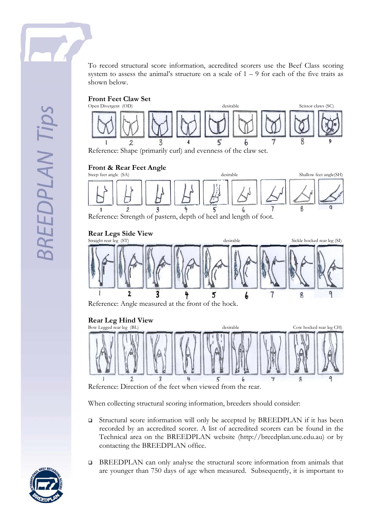





Reference: Strength of pastern, depth of heel and length of foot.

#### **Rear Legs Side View**



Reference: Angle measured at the front of the hock.

#### **Rear Leg Hind View**



Reference: Direction of the feet when viewed from the rear.

When collecting structural scoring information, breeders should consider:

- Structural score information will only be accepted by BREEDPLAN if it has been recorded by an accredited scorer. A list of accredited scorers can be found in the Technical area on the BREEDPLAN website (http://breedplan.une.edu.au) or by contacting the BREEDPLAN office.
- BREEDPLAN can only analyse the structural score information from animals that are younger than 750 days of age when measured. Subsequently, it is important to

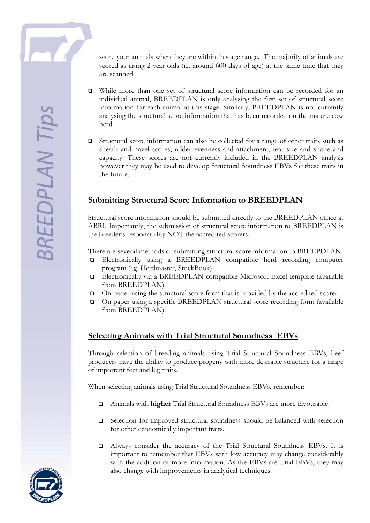score your animals when they are within this age range. The majority of animals are scored as rising 2 year olds (ie. around 600 days of age) at the same time that they are scanned

- While more than one set of structural score information can be recorded for an individual animal, BREEDPLAN is only analysing the first set of structural score information for each animal at this stage. Similarly, BREEDPLAN is not currently analysing the structural score information that has been recorded on the mature cow herd.
- Structural score information can also be collected for a range of other traits such as sheath and navel scores, udder evenness and attachment, teat size and shape and capacity. These scores are not currently included in the BREEDPLAN analysis however they may be used to develop Structural Soundness EBVs for these traits in the future.

### **Submitting Structural Score Information to BREEDPLAN**

Structural score information should be submitted directly to the BREEDPLAN office at ABRI. Importantly, the submission of structural score information to BREEDPLAN is the breeder's responsibility NOT the accredited scorers.

There are several methods of submitting structural score information to BREEPDLAN.

- Electronically using a BREEDPLAN compatible herd recording computer program (eg. Herdmaster, StockBook)
- Electronically via a BREEDPLAN compatible Microsoft Excel template (available from BREEDPLAN)
- On paper using the structural score form that is provided by the accredited scorer
- On paper using a specific BREEDPLAN structural score recording form (available from BREEDPLAN).

## **Selecting Animals with Trial Structural Soundness EBVs**

Through selection of breeding animals using Trial Structural Soundness EBVs, beef producers have the ability to produce progeny with more desirable structure for a range of important feet and leg traits.

When selecting animals using Trial Structural Soundness EBVs, remember:

- Animals with **higher** Trial Structural Soundness EBVs are more favourable.
- □ Selection for improved structural soundness should be balanced with selection for other economically important traits.
- Always consider the accuracy of the Trial Structural Soundness EBVs. It is important to remember that EBVs with low accuracy may change considerably with the addition of more information. As the EBVs are Trial EBVs, they may also change with improvements in analytical techniques.